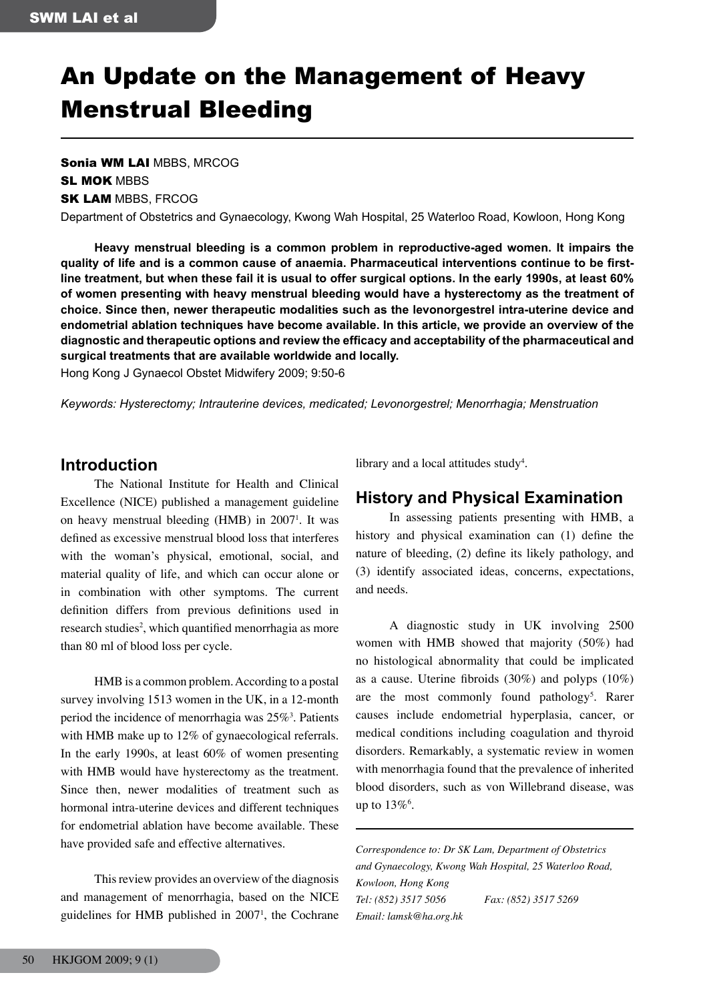# An Update on the Management of Heavy Menstrual Bleeding

Sonia WM LAI MBBS, MRCOG **SL MOK MBBS SK LAM MBBS, FRCOG** 

Department of Obstetrics and Gynaecology, Kwong Wah Hospital, 25 Waterloo Road, Kowloon, Hong Kong

 **Heavy menstrual bleeding is a common problem in reproductive-aged women. It impairs the quality of life and is a common cause of anaemia. Pharmaceutical interventions continue to be first**line treatment, but when these fail it is usual to offer surgical options. In the early 1990s, at least 60% **of women presenting with heavy menstrual bleeding would have a hysterectomy as the treatment of choice. Since then, newer therapeutic modalities such as the levonorgestrel intra-uterine device and endometrial ablation techniques have become available. In this article, we provide an overview of the diagnostic and therapeutic options and review the efficacy and acceptability of the pharmaceutical and surgical treatments that are available worldwide and locally.**

Hong Kong J Gynaecol Obstet Midwifery 2009; 9:50-6

*Keywords: Hysterectomy; Intrauterine devices, medicated; Levonorgestrel; Menorrhagia; Menstruation*

## **Introduction**

The National Institute for Health and Clinical Excellence (NICE) published a management guideline on heavy menstrual bleeding  $(HMB)$  in 2007<sup>1</sup>. It was defined as excessive menstrual blood loss that interferes with the woman's physical, emotional, social, and material quality of life, and which can occur alone or in combination with other symptoms. The current definition differs from previous definitions used in research studies<sup>2</sup>, which quantified menorrhagia as more than 80 ml of blood loss per cycle.

HMB is a common problem. According to a postal survey involving 1513 women in the UK, in a 12-month period the incidence of menorrhagia was  $25\%$ <sup>3</sup>. Patients with HMB make up to 12% of gynaecological referrals. In the early 1990s, at least 60% of women presenting with HMB would have hysterectomy as the treatment. Since then, newer modalities of treatment such as hormonal intra-uterine devices and different techniques for endometrial ablation have become available. These have provided safe and effective alternatives.

This review provides an overview of the diagnosis and management of menorrhagia, based on the NICE guidelines for HMB published in  $2007<sup>1</sup>$ , the Cochrane library and a local attitudes study<sup>4</sup>.

## **History and Physical Examination**

In assessing patients presenting with HMB, a history and physical examination can (1) define the nature of bleeding, (2) define its likely pathology, and (3) identify associated ideas, concerns, expectations, and needs.

A diagnostic study in UK involving 2500 women with HMB showed that majority (50%) had no histological abnormality that could be implicated as a cause. Uterine fibroids (30%) and polyps (10%) are the most commonly found pathology<sup>5</sup>. Rarer causes include endometrial hyperplasia, cancer, or medical conditions including coagulation and thyroid disorders. Remarkably, a systematic review in women with menorrhagia found that the prevalence of inherited blood disorders, such as von Willebrand disease, was up to  $13\%$ <sup>6</sup>.

*Correspondence to: Dr SK Lam, Department of Obstetrics and Gynaecology, Kwong Wah Hospital, 25 Waterloo Road,* 

*Kowloon, Hong Kong Tel: (852) 3517 5056 Fax: (852) 3517 5269 Email: lamsk@ha.org.hk*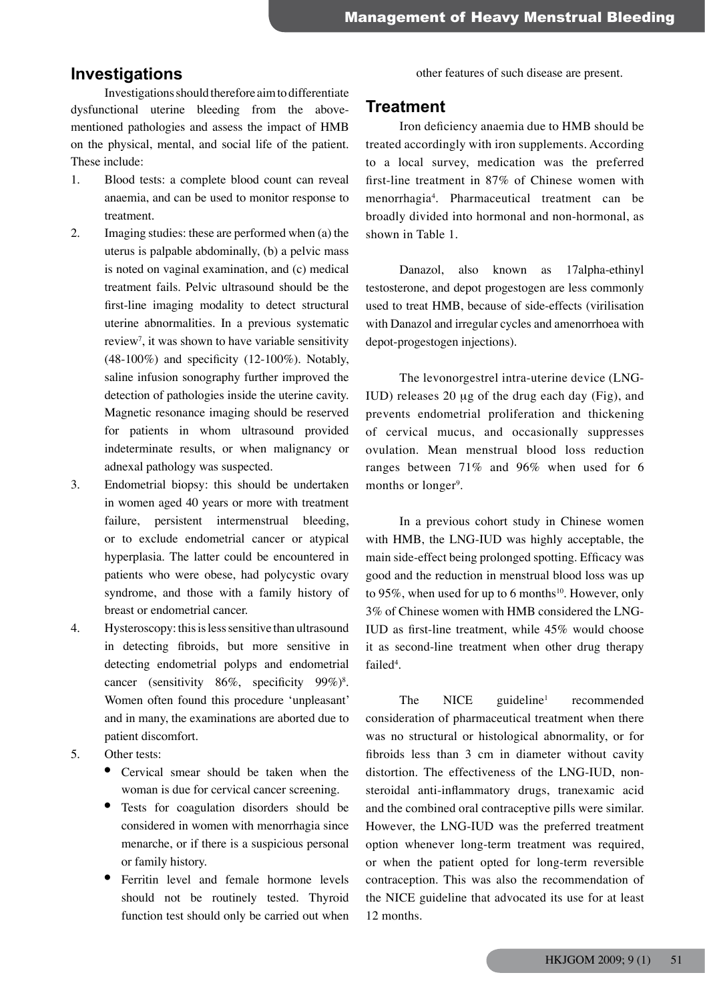## **Investigations**

Investigations should therefore aim to differentiate dysfunctional uterine bleeding from the abovementioned pathologies and assess the impact of HMB on the physical, mental, and social life of the patient. These include:

- 1. Blood tests: a complete blood count can reveal anaemia, and can be used to monitor response to treatment.
- 2. Imaging studies: these are performed when (a) the uterus is palpable abdominally, (b) a pelvic mass is noted on vaginal examination, and (c) medical treatment fails. Pelvic ultrasound should be the first-line imaging modality to detect structural uterine abnormalities. In a previous systematic review<sup>7</sup>, it was shown to have variable sensitivity  $(48-100\%)$  and specificity  $(12-100\%)$ . Notably, saline infusion sonography further improved the detection of pathologies inside the uterine cavity. Magnetic resonance imaging should be reserved for patients in whom ultrasound provided indeterminate results, or when malignancy or adnexal pathology was suspected.
- 3. Endometrial biopsy: this should be undertaken in women aged 40 years or more with treatment failure, persistent intermenstrual bleeding, or to exclude endometrial cancer or atypical hyperplasia. The latter could be encountered in patients who were obese, had polycystic ovary syndrome, and those with a family history of breast or endometrial cancer.
- 4. Hysteroscopy: this is less sensitive than ultrasound in detecting fibroids, but more sensitive in detecting endometrial polyps and endometrial cancer (sensitivity 86%, specificity 99%)<sup>8</sup>. Women often found this procedure 'unpleasant' and in many, the examinations are aborted due to patient discomfort.
- 5. Other tests:
	- Cervical smear should be taken when the woman is due for cervical cancer screening.
	- Tests for coagulation disorders should be considered in women with menorrhagia since menarche, or if there is a suspicious personal or family history.
	- Ferritin level and female hormone levels should not be routinely tested. Thyroid function test should only be carried out when

other features of such disease are present.

## **Treatment**

Iron deficiency anaemia due to HMB should be treated accordingly with iron supplements. According to a local survey, medication was the preferred first-line treatment in 87% of Chinese women with menorrhagia4 . Pharmaceutical treatment can be broadly divided into hormonal and non-hormonal, as shown in Table 1.

Danazol, also known as 17alpha-ethinyl testosterone, and depot progestogen are less commonly used to treat HMB, because of side-effects (virilisation with Danazol and irregular cycles and amenorrhoea with depot-progestogen injections).

The levonorgestrel intra-uterine device (LNG-IUD) releases 20 µg of the drug each day (Fig), and prevents endometrial proliferation and thickening of cervical mucus, and occasionally suppresses ovulation. Mean menstrual blood loss reduction ranges between 71% and 96% when used for 6 months or longer<sup>9</sup>.

In a previous cohort study in Chinese women with HMB, the LNG-IUD was highly acceptable, the main side-effect being prolonged spotting. Efficacy was good and the reduction in menstrual blood loss was up to 95%, when used for up to 6 months<sup>10</sup>. However, only 3% of Chinese women with HMB considered the LNG-IUD as first-line treatment, while 45% would choose it as second-line treatment when other drug therapy failed<sup>4</sup>.

The NICE guideline<sup>1</sup> recommended consideration of pharmaceutical treatment when there was no structural or histological abnormality, or for fibroids less than 3 cm in diameter without cavity distortion. The effectiveness of the LNG-IUD, nonsteroidal anti-inflammatory drugs, tranexamic acid and the combined oral contraceptive pills were similar. However, the LNG-IUD was the preferred treatment option whenever long-term treatment was required, or when the patient opted for long-term reversible contraception. This was also the recommendation of the NICE guideline that advocated its use for at least 12 months.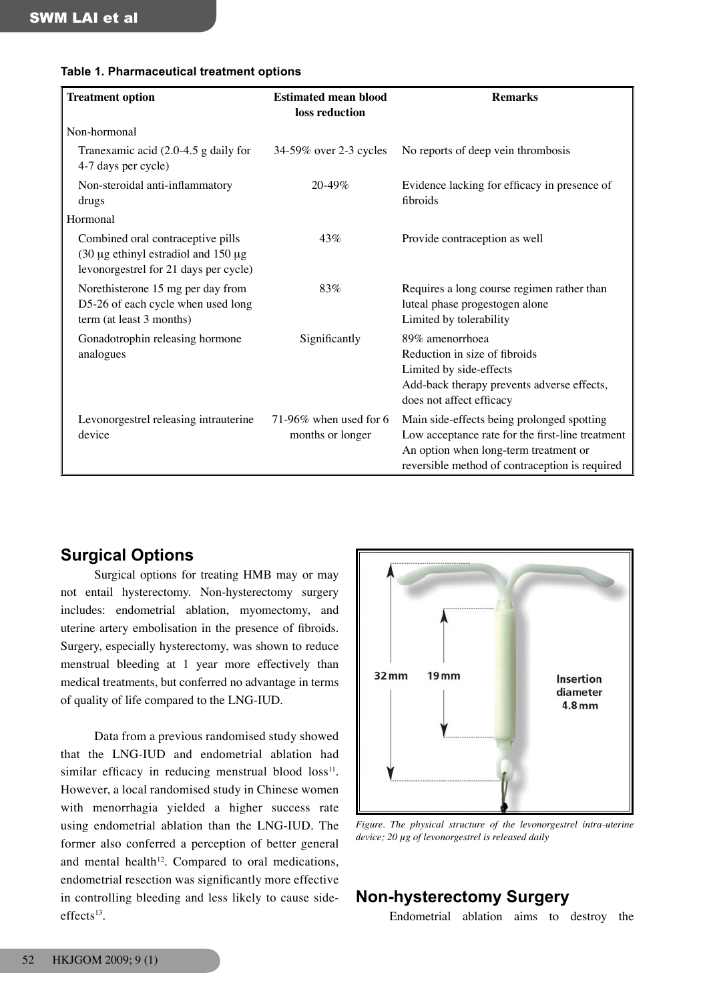| <b>Treatment option</b>                                                                                              | <b>Estimated mean blood</b><br>loss reduction | <b>Remarks</b>                                                                                                                                                                            |
|----------------------------------------------------------------------------------------------------------------------|-----------------------------------------------|-------------------------------------------------------------------------------------------------------------------------------------------------------------------------------------------|
| Non-hormonal                                                                                                         |                                               |                                                                                                                                                                                           |
| Tranexamic acid $(2.0-4.5 g)$ daily for<br>4-7 days per cycle)                                                       | 34-59% over 2-3 cycles                        | No reports of deep vein thrombosis                                                                                                                                                        |
| Non-steroidal anti-inflammatory<br>drugs                                                                             | $20 - 49\%$                                   | Evidence lacking for efficacy in presence of<br>fibroids                                                                                                                                  |
| Hormonal                                                                                                             |                                               |                                                                                                                                                                                           |
| Combined oral contraceptive pills<br>$(30 \mu g)$ estradiol and 150 $\mu g$<br>levonorgestrel for 21 days per cycle) | 43%                                           | Provide contraception as well                                                                                                                                                             |
| Norethisterone 15 mg per day from<br>D5-26 of each cycle when used long<br>term (at least 3 months)                  | 83%                                           | Requires a long course regimen rather than<br>luteal phase progestogen alone<br>Limited by tolerability                                                                                   |
| Gonadotrophin releasing hormone<br>analogues                                                                         | Significantly                                 | 89% amenorrhoea<br>Reduction in size of fibroids<br>Limited by side-effects<br>Add-back therapy prevents adverse effects,<br>does not affect efficacy                                     |
| Levonorgestrel releasing intrauterine<br>device                                                                      | 71-96% when used for 6<br>months or longer    | Main side-effects being prolonged spotting<br>Low acceptance rate for the first-line treatment<br>An option when long-term treatment or<br>reversible method of contraception is required |

#### **Table 1. Pharmaceutical treatment options**

# **Surgical Options**

Surgical options for treating HMB may or may not entail hysterectomy. Non-hysterectomy surgery includes: endometrial ablation, myomectomy, and uterine artery embolisation in the presence of fibroids. Surgery, especially hysterectomy, was shown to reduce menstrual bleeding at 1 year more effectively than medical treatments, but conferred no advantage in terms of quality of life compared to the LNG-IUD.

Data from a previous randomised study showed that the LNG-IUD and endometrial ablation had similar efficacy in reducing menstrual blood  $loss<sup>11</sup>$ . However, a local randomised study in Chinese women with menorrhagia yielded a higher success rate using endometrial ablation than the LNG-IUD. The former also conferred a perception of better general and mental health<sup>12</sup>. Compared to oral medications, endometrial resection was significantly more effective in controlling bleeding and less likely to cause side $effects<sup>13</sup>$ .



*Figure. The physical structure of the levonorgestrel intra-uterine device; 20 µg of levonorgestrel is released daily*

# **Non-hysterectomy Surgery**

Endometrial ablation aims to destroy the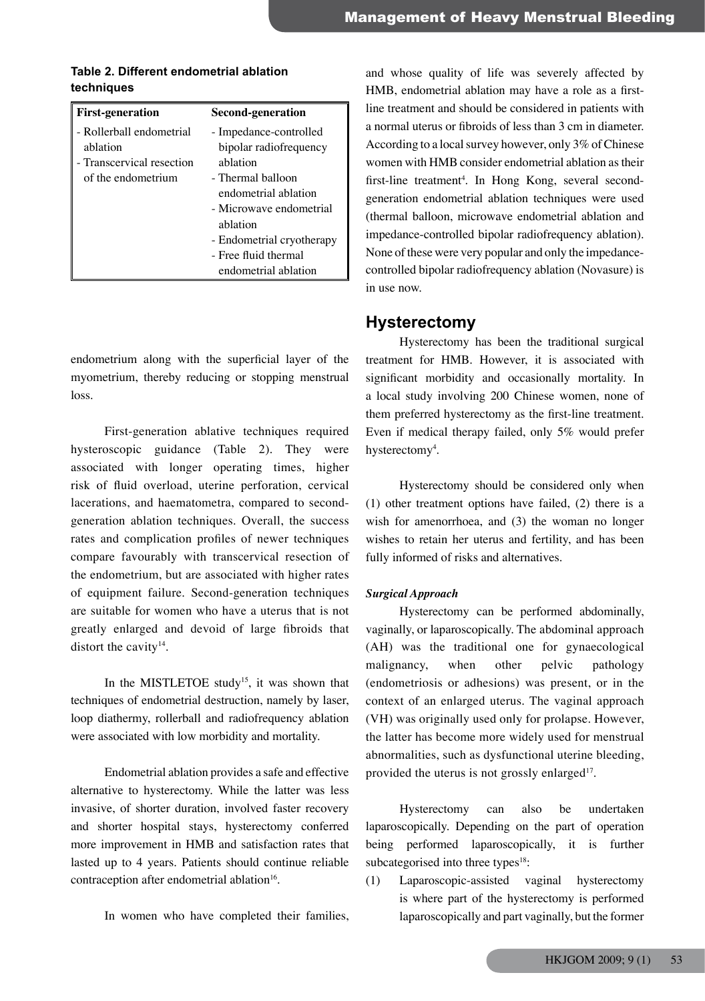#### **Table 2. Different endometrial ablation techniques**

| <b>First-generation</b>   | Second-generation         |
|---------------------------|---------------------------|
| - Rollerball endometrial  | - Impedance-controlled    |
| ablation                  | bipolar radiofrequency    |
| - Transcervical resection | ablation                  |
| of the endometrium        | - Thermal balloon         |
|                           | endometrial ablation      |
|                           | - Microwave endometrial   |
|                           | ablation                  |
|                           | - Endometrial cryotherapy |
|                           | - Free fluid thermal      |
|                           | endometrial ablation      |

endometrium along with the superficial layer of the myometrium, thereby reducing or stopping menstrual loss.

First-generation ablative techniques required hysteroscopic guidance (Table 2). They were associated with longer operating times, higher risk of fluid overload, uterine perforation, cervical lacerations, and haematometra, compared to secondgeneration ablation techniques. Overall, the success rates and complication profiles of newer techniques compare favourably with transcervical resection of the endometrium, but are associated with higher rates of equipment failure. Second-generation techniques are suitable for women who have a uterus that is not greatly enlarged and devoid of large fibroids that distort the cavity<sup>14</sup>.

In the MISTLETOE study<sup>15</sup>, it was shown that techniques of endometrial destruction, namely by laser, loop diathermy, rollerball and radiofrequency ablation were associated with low morbidity and mortality.

Endometrial ablation provides a safe and effective alternative to hysterectomy. While the latter was less invasive, of shorter duration, involved faster recovery and shorter hospital stays, hysterectomy conferred more improvement in HMB and satisfaction rates that lasted up to 4 years. Patients should continue reliable contraception after endometrial ablation<sup>16</sup>.

In women who have completed their families,

and whose quality of life was severely affected by HMB, endometrial ablation may have a role as a firstline treatment and should be considered in patients with a normal uterus or fibroids of less than 3 cm in diameter. According to a local survey however, only 3% of Chinese women with HMB consider endometrial ablation as their first-line treatment<sup>4</sup>. In Hong Kong, several secondgeneration endometrial ablation techniques were used (thermal balloon, microwave endometrial ablation and impedance-controlled bipolar radiofrequency ablation). None of these were very popular and only the impedancecontrolled bipolar radiofrequency ablation (Novasure) is in use now.

# **Hysterectomy**

Hysterectomy has been the traditional surgical treatment for HMB. However, it is associated with significant morbidity and occasionally mortality. In a local study involving 200 Chinese women, none of them preferred hysterectomy as the first-line treatment. Even if medical therapy failed, only 5% would prefer hysterectomy<sup>4</sup>.

Hysterectomy should be considered only when (1) other treatment options have failed, (2) there is a wish for amenorrhoea, and (3) the woman no longer wishes to retain her uterus and fertility, and has been fully informed of risks and alternatives.

#### *Surgical Approach*

Hysterectomy can be performed abdominally, vaginally, or laparoscopically. The abdominal approach (AH) was the traditional one for gynaecological malignancy, when other pelvic pathology (endometriosis or adhesions) was present, or in the context of an enlarged uterus. The vaginal approach (VH) was originally used only for prolapse. However, the latter has become more widely used for menstrual abnormalities, such as dysfunctional uterine bleeding, provided the uterus is not grossly enlarged<sup>17</sup>.

Hysterectomy can also be undertaken laparoscopically. Depending on the part of operation being performed laparoscopically, it is further subcategorised into three types $18$ :

(1) Laparoscopic-assisted vaginal hysterectomy is where part of the hysterectomy is performed laparoscopically and part vaginally, but the former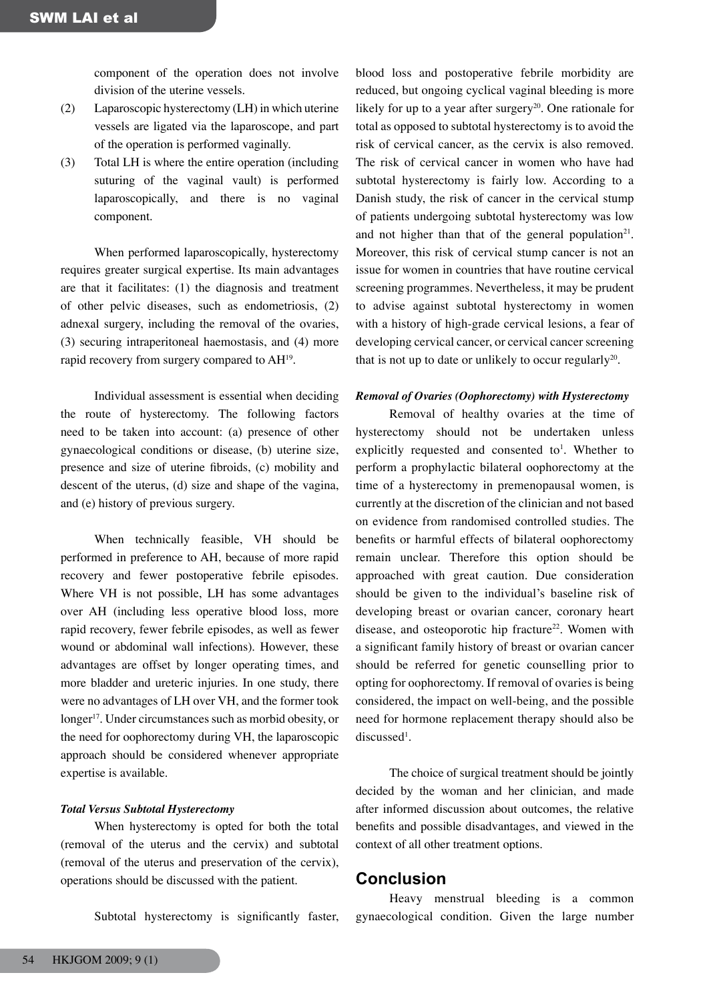component of the operation does not involve division of the uterine vessels.

- (2) Laparoscopic hysterectomy (LH) in which uterine vessels are ligated via the laparoscope, and part of the operation is performed vaginally.
- (3) Total LH is where the entire operation (including suturing of the vaginal vault) is performed laparoscopically, and there is no vaginal component.

When performed laparoscopically, hysterectomy requires greater surgical expertise. Its main advantages are that it facilitates: (1) the diagnosis and treatment of other pelvic diseases, such as endometriosis, (2) adnexal surgery, including the removal of the ovaries, (3) securing intraperitoneal haemostasis, and (4) more rapid recovery from surgery compared to AH<sup>19</sup>.

Individual assessment is essential when deciding the route of hysterectomy. The following factors need to be taken into account: (a) presence of other gynaecological conditions or disease, (b) uterine size, presence and size of uterine fibroids, (c) mobility and descent of the uterus, (d) size and shape of the vagina, and (e) history of previous surgery.

When technically feasible, VH should be performed in preference to AH, because of more rapid recovery and fewer postoperative febrile episodes. Where VH is not possible, LH has some advantages over AH (including less operative blood loss, more rapid recovery, fewer febrile episodes, as well as fewer wound or abdominal wall infections). However, these advantages are offset by longer operating times, and more bladder and ureteric injuries. In one study, there were no advantages of LH over VH, and the former took longer<sup>17</sup>. Under circumstances such as morbid obesity, or the need for oophorectomy during VH, the laparoscopic approach should be considered whenever appropriate expertise is available.

#### *Total Versus Subtotal Hysterectomy*

When hysterectomy is opted for both the total (removal of the uterus and the cervix) and subtotal (removal of the uterus and preservation of the cervix), operations should be discussed with the patient.

Subtotal hysterectomy is significantly faster,

blood loss and postoperative febrile morbidity are reduced, but ongoing cyclical vaginal bleeding is more likely for up to a year after surgery<sup>20</sup>. One rationale for total as opposed to subtotal hysterectomy is to avoid the risk of cervical cancer, as the cervix is also removed. The risk of cervical cancer in women who have had subtotal hysterectomy is fairly low. According to a Danish study, the risk of cancer in the cervical stump of patients undergoing subtotal hysterectomy was low and not higher than that of the general population<sup>21</sup>. Moreover, this risk of cervical stump cancer is not an issue for women in countries that have routine cervical screening programmes. Nevertheless, it may be prudent to advise against subtotal hysterectomy in women with a history of high-grade cervical lesions, a fear of developing cervical cancer, or cervical cancer screening that is not up to date or unlikely to occur regularly<sup>20</sup>.

#### *Removal of Ovaries (Oophorectomy) with Hysterectomy*

Removal of healthy ovaries at the time of hysterectomy should not be undertaken unless explicitly requested and consented to<sup>1</sup>. Whether to perform a prophylactic bilateral oophorectomy at the time of a hysterectomy in premenopausal women, is currently at the discretion of the clinician and not based on evidence from randomised controlled studies. The benefits or harmful effects of bilateral oophorectomy remain unclear. Therefore this option should be approached with great caution. Due consideration should be given to the individual's baseline risk of developing breast or ovarian cancer, coronary heart disease, and osteoporotic hip fracture<sup>22</sup>. Women with a significant family history of breast or ovarian cancer should be referred for genetic counselling prior to opting for oophorectomy. If removal of ovaries is being considered, the impact on well-being, and the possible need for hormone replacement therapy should also be discussed<sup>1</sup>.

The choice of surgical treatment should be jointly decided by the woman and her clinician, and made after informed discussion about outcomes, the relative benefits and possible disadvantages, and viewed in the context of all other treatment options.

## **Conclusion**

Heavy menstrual bleeding is a common gynaecological condition. Given the large number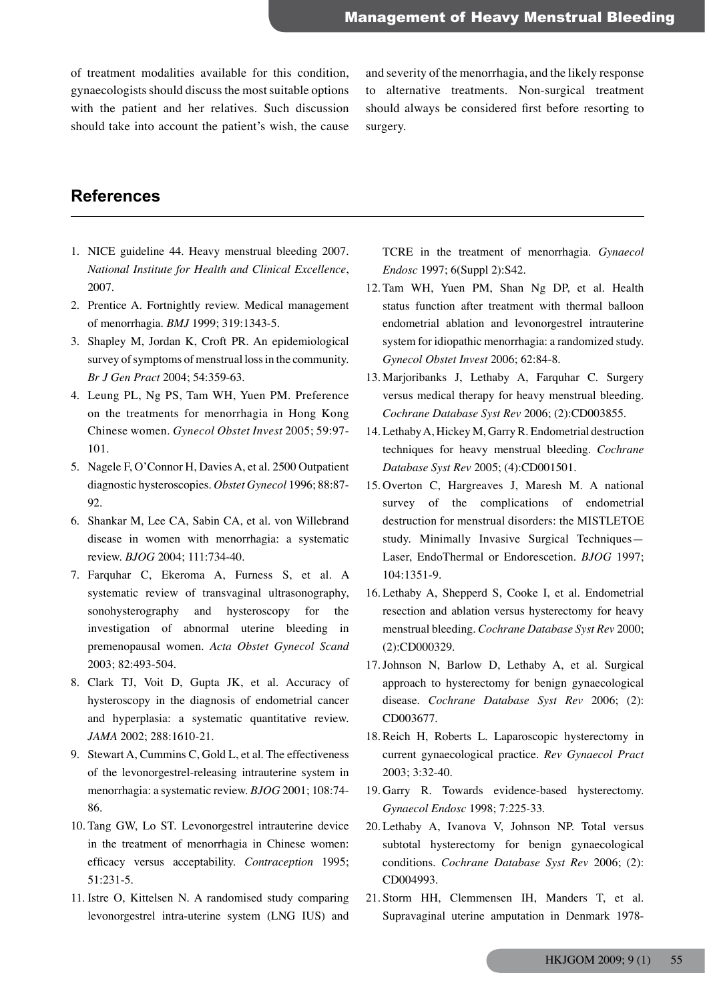of treatment modalities available for this condition, gynaecologists should discuss the most suitable options with the patient and her relatives. Such discussion should take into account the patient's wish, the cause

and severity of the menorrhagia, and the likely response to alternative treatments. Non-surgical treatment should always be considered first before resorting to surgery.

# **References**

- 1. NICE guideline 44. Heavy menstrual bleeding 2007. *National Institute for Health and Clinical Excellence*, 2007.
- 2. Prentice A. Fortnightly review. Medical management of menorrhagia. *BMJ* 1999; 319:1343-5.
- 3. Shapley M, Jordan K, Croft PR. An epidemiological survey of symptoms of menstrual loss in the community. *Br J Gen Pract* 2004; 54:359-63.
- 4. Leung PL, Ng PS, Tam WH, Yuen PM. Preference on the treatments for menorrhagia in Hong Kong Chinese women. *Gynecol Obstet Invest* 2005; 59:97- 101.
- 5. Nagele F, O'Connor H, Davies A, et al. 2500 Outpatient diagnostic hysteroscopies. *Obstet Gynecol* 1996; 88:87- 92.
- 6. Shankar M, Lee CA, Sabin CA, et al. von Willebrand disease in women with menorrhagia: a systematic review. *BJOG* 2004; 111:734-40.
- 7. Farquhar C, Ekeroma A, Furness S, et al. A systematic review of transvaginal ultrasonography, sonohysterography and hysteroscopy for the investigation of abnormal uterine bleeding in premenopausal women. *Acta Obstet Gynecol Scand* 2003; 82:493-504.
- 8. Clark TJ, Voit D, Gupta JK, et al. Accuracy of hysteroscopy in the diagnosis of endometrial cancer and hyperplasia: a systematic quantitative review. *JAMA* 2002; 288:1610-21.
- 9. Stewart A, Cummins C, Gold L, et al. The effectiveness of the levonorgestrel-releasing intrauterine system in menorrhagia: a systematic review. *BJOG* 2001; 108:74- 86.
- 10. Tang GW, Lo ST. Levonorgestrel intrauterine device in the treatment of menorrhagia in Chinese women: efficacy versus acceptability. *Contraception* 1995; 51:231-5.
- 11. Istre O, Kittelsen N. A randomised study comparing levonorgestrel intra-uterine system (LNG IUS) and

TCRE in the treatment of menorrhagia. *Gynaecol Endosc* 1997; 6(Suppl 2):S42.

- 12. Tam WH, Yuen PM, Shan Ng DP, et al. Health status function after treatment with thermal balloon endometrial ablation and levonorgestrel intrauterine system for idiopathic menorrhagia: a randomized study. *Gynecol Obstet Invest* 2006; 62:84-8.
- 13. Marjoribanks J, Lethaby A, Farquhar C. Surgery versus medical therapy for heavy menstrual bleeding. *Cochrane Database Syst Rev* 2006; (2):CD003855.
- 14. Lethaby A, Hickey M, Garry R. Endometrial destruction techniques for heavy menstrual bleeding. *Cochrane Database Syst Rev* 2005; (4):CD001501.
- 15. Overton C, Hargreaves J, Maresh M. A national survey of the complications of endometrial destruction for menstrual disorders: the MISTLETOE study. Minimally Invasive Surgical Techniques— Laser, EndoThermal or Endorescetion. *BJOG* 1997; 104:1351-9.
- 16. Lethaby A, Shepperd S, Cooke I, et al. Endometrial resection and ablation versus hysterectomy for heavy menstrual bleeding. *Cochrane Database Syst Rev* 2000; (2):CD000329.
- 17.Johnson N, Barlow D, Lethaby A, et al. Surgical approach to hysterectomy for benign gynaecological disease. *Cochrane Database Syst Rev* 2006; (2): CD003677.
- 18. Reich H, Roberts L. Laparoscopic hysterectomy in current gynaecological practice. *Rev Gynaecol Pract* 2003; 3:32-40.
- 19. Garry R. Towards evidence-based hysterectomy. *Gynaecol Endosc* 1998; 7:225-33.
- 20. Lethaby A, Ivanova V, Johnson NP. Total versus subtotal hysterectomy for benign gynaecological conditions. *Cochrane Database Syst Rev* 2006; (2): CD004993.
- 21. Storm HH, Clemmensen IH, Manders T, et al. Supravaginal uterine amputation in Denmark 1978-